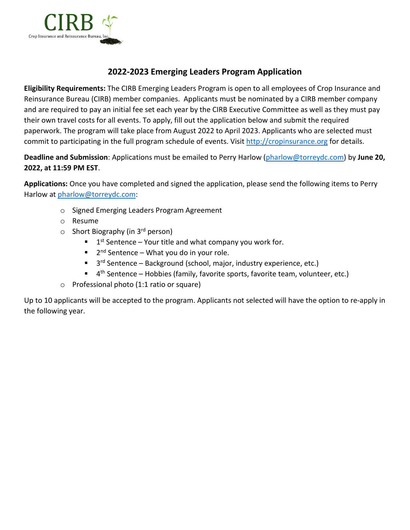

## **2022-2023 Emerging Leaders Program Application**

**Eligibility Requirements:** The CIRB Emerging Leaders Program is open to all employees of Crop Insurance and Reinsurance Bureau (CIRB) member companies. Applicants must be nominated by a CIRB member company and are required to pay an initial fee set each year by the CIRB Executive Committee as well as they must pay their own travel costs for all events. To apply, fill out the application below and submit the required paperwork. The program will take place from August 2022 to April 2023. Applicants who are selected must commit to participating in the full program schedule of events. Visit [http://cropinsurance.org](http://cropinsurance.org/emerging-leaders-program/) for details.

**Deadline and Submission**: Applications must be emailed to Perry Harlow [\(pharlow@torreydc.com\)](mailto:pharlow@torreydc.com) by **June 20, 2022, at 11:59 PM EST**.

**Applications:** Once you have completed and signed the application, please send the following items to Perry Harlow at [pharlow@torreydc.com:](mailto:pharlow@torreydc.com)

- o Signed Emerging Leaders Program Agreement
- o Resume
- $\circ$  Short Biography (in 3<sup>rd</sup> person)
	- $1$ <sup>st</sup> Sentence Your title and what company you work for.
	- $\blacksquare$  2<sup>nd</sup> Sentence What you do in your role.
	- $\blacksquare$  3<sup>rd</sup> Sentence Background (school, major, industry experience, etc.)
	- $\blacksquare$  4<sup>th</sup> Sentence Hobbies (family, favorite sports, favorite team, volunteer, etc.)
- o Professional photo (1:1 ratio or square)

Up to 10 applicants will be accepted to the program. Applicants not selected will have the option to re-apply in the following year.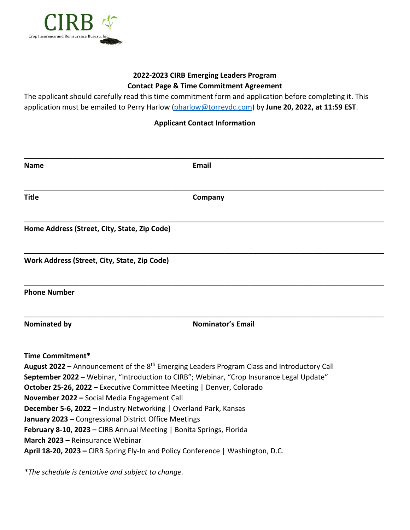

## **2022-2023 CIRB Emerging Leaders Program Contact Page & Time Commitment Agreement**

The applicant should carefully read this time commitment form and application before completing it. This application must be emailed to Perry Harlow [\(pharlow@torreydc.com\)](mailto:pharlow@torreydc.com) by **June 20, 2022, at 11:59 EST**.

## **Applicant Contact Information**

| <b>Name</b>                                                                                                                                                                                                                                                                                                                                                                                                                                                                                                                                                                                                                                                                   | <b>Email</b>             |
|-------------------------------------------------------------------------------------------------------------------------------------------------------------------------------------------------------------------------------------------------------------------------------------------------------------------------------------------------------------------------------------------------------------------------------------------------------------------------------------------------------------------------------------------------------------------------------------------------------------------------------------------------------------------------------|--------------------------|
| <b>Title</b>                                                                                                                                                                                                                                                                                                                                                                                                                                                                                                                                                                                                                                                                  | Company                  |
| Home Address (Street, City, State, Zip Code)                                                                                                                                                                                                                                                                                                                                                                                                                                                                                                                                                                                                                                  |                          |
| Work Address (Street, City, State, Zip Code)                                                                                                                                                                                                                                                                                                                                                                                                                                                                                                                                                                                                                                  |                          |
| <b>Phone Number</b>                                                                                                                                                                                                                                                                                                                                                                                                                                                                                                                                                                                                                                                           |                          |
| <b>Nominated by</b>                                                                                                                                                                                                                                                                                                                                                                                                                                                                                                                                                                                                                                                           | <b>Nominator's Email</b> |
| Time Commitment*<br><b>August 2022</b> – Announcement of the $8th$ Emerging Leaders Program Class and Introductory Call<br>September 2022 - Webinar, "Introduction to CIRB"; Webinar, "Crop Insurance Legal Update"<br>October 25-26, 2022 - Executive Committee Meeting   Denver, Colorado<br>November 2022 - Social Media Engagement Call<br><b>December 5-6, 2022 - Industry Networking   Overland Park, Kansas</b><br>January 2023 - Congressional District Office Meetings<br>February 8-10, 2023 - CIRB Annual Meeting   Bonita Springs, Florida<br>March 2023 - Reinsurance Webinar<br>April 18-20, 2023 – CIRB Spring Fly-In and Policy Conference   Washington, D.C. |                          |

*\*The schedule is tentative and subject to change.*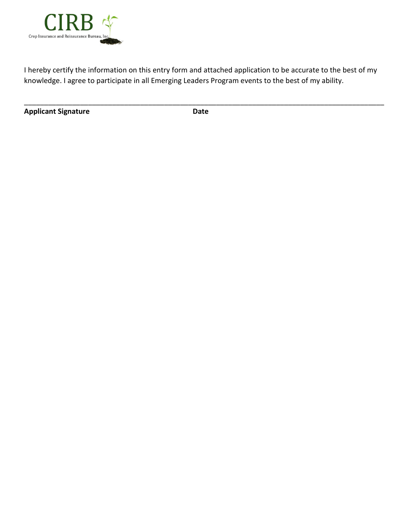

I hereby certify the information on this entry form and attached application to be accurate to the best of my knowledge. I agree to participate in all Emerging Leaders Program events to the best of my ability.

**Applicant Signature Date**

\_\_\_\_\_\_\_\_\_\_\_\_\_\_\_\_\_\_\_\_\_\_\_\_\_\_\_\_\_\_\_\_\_\_\_\_\_\_\_\_\_\_\_\_\_\_\_\_\_\_\_\_\_\_\_\_\_\_\_\_\_\_\_\_\_\_\_\_\_\_\_\_\_\_\_\_\_\_\_\_\_\_\_\_\_\_\_\_\_\_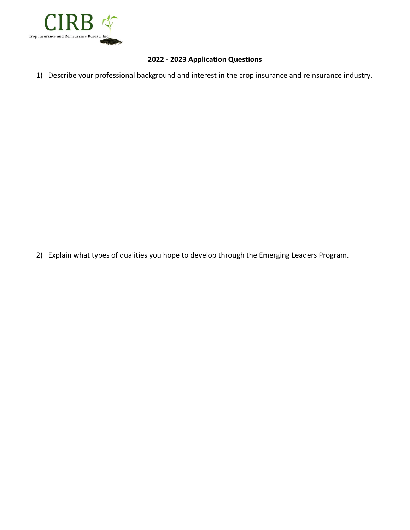

## **2022 - 2023 Application Questions**

1) Describe your professional background and interest in the crop insurance and reinsurance industry.

2) Explain what types of qualities you hope to develop through the Emerging Leaders Program.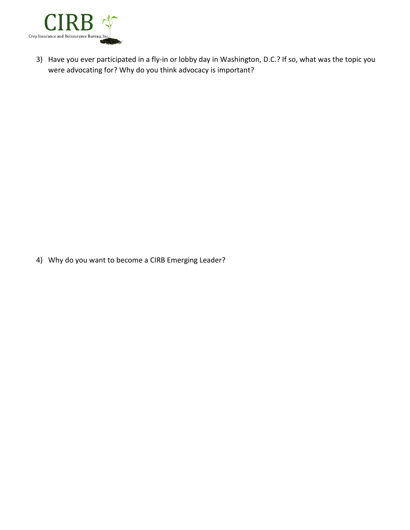

3) Have you ever participated in a fly-in or lobby day in Washington, D.C.? If so, what was the topic you were advocating for? Why do you think advocacy is important?

4) Why do you want to become a CIRB Emerging Leader?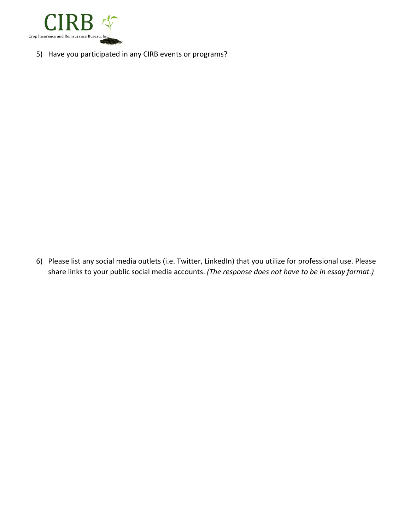

5) Have you participated in any CIRB events or programs?

6) Please list any social media outlets (i.e. Twitter, LinkedIn) that you utilize for professional use. Please share links to your public social media accounts. *(The response does not have to be in essay format.)*